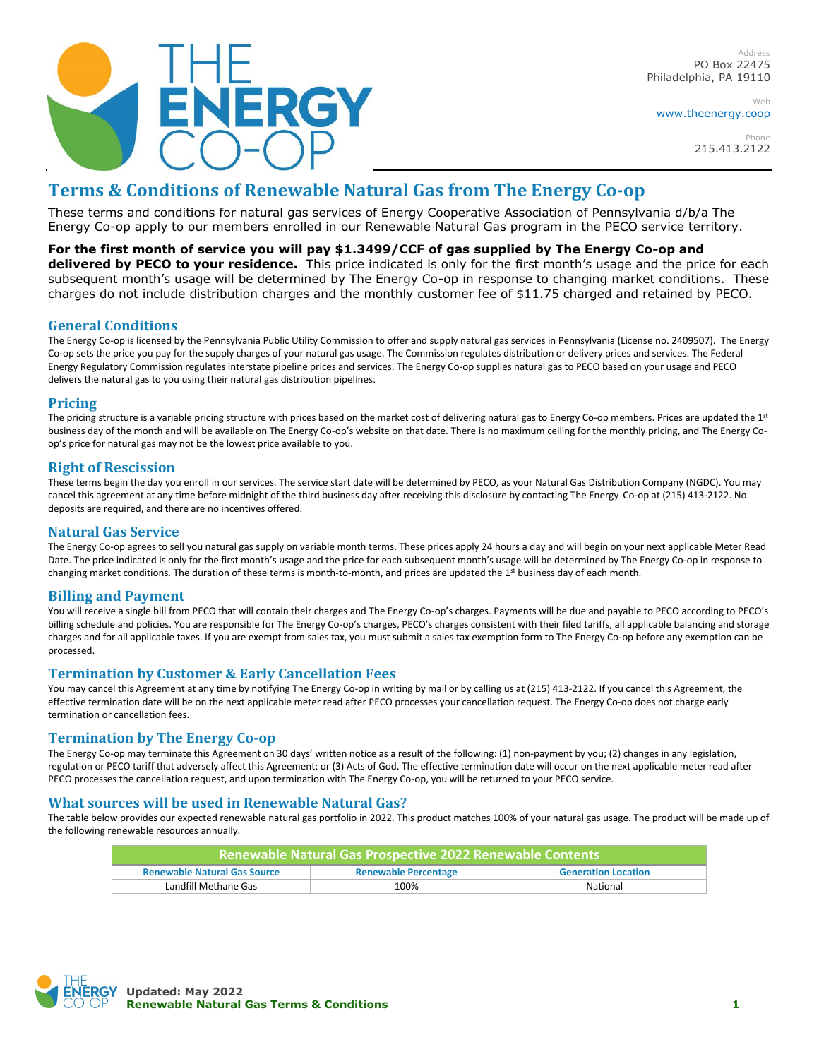

Address PO Box 22475 Philadelphia, PA 19110

Web [www.theenergy.coop](http://www.theenergy.coop/)

> Phone 215.413.2122

# **Terms & Conditions of Renewable Natural Gas from The Energy Co-op**

These terms and conditions for natural gas services of Energy Cooperative Association of Pennsylvania d/b/a The Energy Co-op apply to our members enrolled in our Renewable Natural Gas program in the PECO service territory.

**For the first month of service you will pay \$1.3499/CCF of gas supplied by The Energy Co-op and delivered by PECO to your residence.** This price indicated is only for the first month's usage and the price for each subsequent month's usage will be determined by The Energy Co-op in response to changing market conditions. These charges do not include distribution charges and the monthly customer fee of \$11.75 charged and retained by PECO.

# **General Conditions**

The Energy Co-op is licensed by the Pennsylvania Public Utility Commission to offer and supply natural gas services in Pennsylvania (License no. 2409507). The Energy Co-op sets the price you pay for the supply charges of your natural gas usage. The Commission regulates distribution or delivery prices and services. The Federal Energy Regulatory Commission regulates interstate pipeline prices and services. The Energy Co-op supplies natural gas to PECO based on your usage and PECO delivers the natural gas to you using their natural gas distribution pipelines.

## **Pricing**

The pricing structure is a variable pricing structure with prices based on the market cost of delivering natural gas to Energy Co-op members. Prices are updated the 1st business day of the month and will be available on The Energy Co-op's website on that date. There is no maximum ceiling for the monthly pricing, and The Energy Coop's price for natural gas may not be the lowest price available to you.

# **Right of Rescission**

These terms begin the day you enroll in our services. The service start date will be determined by PECO, as your Natural Gas Distribution Company (NGDC). You may cancel this agreement at any time before midnight of the third business day after receiving this disclosure by contacting The Energy Co-op at (215) 413-2122. No deposits are required, and there are no incentives offered.

#### **Natural Gas Service**

The Energy Co-op agrees to sell you natural gas supply on variable month terms. These prices apply 24 hours a day and will begin on your next applicable Meter Read Date. The price indicated is only for the first month's usage and the price for each subsequent month's usage will be determined by The Energy Co-op in response to changing market conditions. The duration of these terms is month-to-month, and prices are updated the 1st business day of each month.

## **Billing and Payment**

You will receive a single bill from PECO that will contain their charges and The Energy Co-op's charges. Payments will be due and payable to PECO according to PECO's billing schedule and policies. You are responsible for The Energy Co-op's charges, PECO's charges consistent with their filed tariffs, all applicable balancing and storage charges and for all applicable taxes. If you are exempt from sales tax, you must submit a sales tax exemption form to The Energy Co-op before any exemption can be processed.

## **Termination by Customer & Early Cancellation Fees**

You may cancel this Agreement at any time by notifying The Energy Co-op in writing by mail or by calling us at (215) 413-2122. If you cancel this Agreement, the effective termination date will be on the next applicable meter read after PECO processes your cancellation request. The Energy Co-op does not charge early termination or cancellation fees.

## **Termination by The Energy Co-op**

The Energy Co-op may terminate this Agreement on 30 days' written notice as a result of the following: (1) non-payment by you; (2) changes in any legislation, regulation or PECO tariff that adversely affect this Agreement; or (3) Acts of God. The effective termination date will occur on the next applicable meter read after PECO processes the cancellation request, and upon termination with The Energy Co-op, you will be returned to your PECO service.

## **What sources will be used in Renewable Natural Gas?**

The table below provides our expected renewable natural gas portfolio in 2022. This product matches 100% of your natural gas usage. The product will be made up of the following renewable resources annually.

| <b>Renewable Natural Gas Prospective 2022 Renewable Contents</b> |                             |                            |
|------------------------------------------------------------------|-----------------------------|----------------------------|
| <b>Renewable Natural Gas Source</b>                              | <b>Renewable Percentage</b> | <b>Generation Location</b> |
| Landfill Methane Gas                                             | 100%                        | National                   |